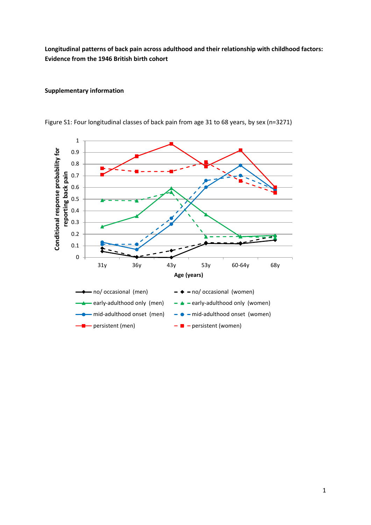**Longitudinal patterns of back pain across adulthood and their relationship with childhood factors: Evidence from the 1946 British birth cohort**

## **Supplementary information**



Figure S1: Four longitudinal classes of back pain from age 31 to 68 years, by sex (n=3271)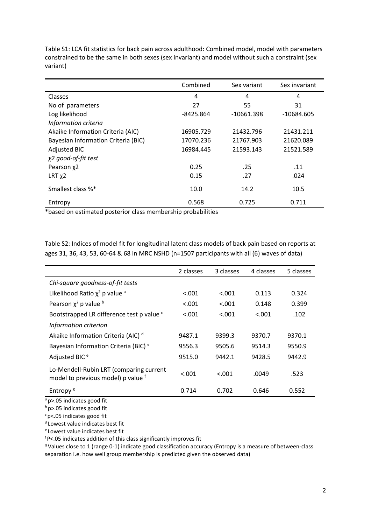|                                     | Combined    | Sex variant  | Sex invariant |  |
|-------------------------------------|-------------|--------------|---------------|--|
| Classes                             | 4           | 4            | 4             |  |
| No of parameters                    | 27          | 55           | 31            |  |
| Log likelihood                      | $-8425.864$ | $-10661.398$ | $-10684.605$  |  |
| Information criteria                |             |              |               |  |
| Akaike Information Criteria (AIC)   | 16905.729   | 21432.796    | 21431.211     |  |
| Bayesian Information Criteria (BIC) | 17070.236   | 21767.903    | 21620.089     |  |
| <b>Adjusted BIC</b>                 | 16984.445   | 21593.143    | 21521.589     |  |
| χ2 good-of-fit test                 |             |              |               |  |
| Pearson x2                          | 0.25        | .25          | .11           |  |
| $LRT \chi2$                         | 0.15        | .27          | .024          |  |
| Smallest class %*                   | 10.0        | 14.2         | 10.5          |  |
| Entropy                             | 0.568       | 0.725        | 0.711         |  |

Table S1: LCA fit statistics for back pain across adulthood: Combined model, model with parameters constrained to be the same in both sexes (sex invariant) and model without such a constraint (sex variant)

\*based on estimated posterior class membership probabilities

Table S2: Indices of model fit for longitudinal latent class models of back pain based on reports at ages 31, 36, 43, 53, 60-64 & 68 in MRC NSHD (n=1507 participants with all (6) waves of data)

|                                                                               | 2 classes | 3 classes | 4 classes | 5 classes |
|-------------------------------------------------------------------------------|-----------|-----------|-----------|-----------|
| Chi-square goodness-of-fit tests                                              |           |           |           |           |
| Likelihood Ratio $\chi^2$ p value $\alpha$                                    | < 0.001   | < 0.001   | 0.113     | 0.324     |
| Pearson $\chi^2$ p value $\overline{p}$                                       | < 0.001   | < 0.001   | 0.148     | 0.399     |
| Bootstrapped LR difference test p value <sup>c</sup>                          | < 0.001   | < 0.001   | < 0.001   | .102      |
| Information criterion                                                         |           |           |           |           |
| Akaike Information Criteria (AIC) <sup>d</sup>                                | 9487.1    | 9399.3    | 9370.7    | 9370.1    |
| Bayesian Information Criteria (BIC) <sup>e</sup>                              | 9556.3    | 9505.6    | 9514.3    | 9550.9    |
| Adjusted BIC <sup>e</sup>                                                     | 9515.0    | 9442.1    | 9428.5    | 9442.9    |
| Lo-Mendell-Rubin LRT (comparing current<br>model to previous model) p value f | < 0.001   | < .001    | .0049     | .523      |
| Entropy <sup>g</sup>                                                          | 0.714     | 0.702     | 0.646     | 0.552     |

*<sup>a</sup>* p>.05 indicates good fit

*<sup>b</sup>* p>.05 indicates good fit

*<sup>c</sup>* p<.05 indicates good fit

*d* Lowest value indicates best fit

*e* Lowest value indicates best fit

*<sup>f</sup>* P<.05 indicates addition of this class significantly improves fit

*<sup>g</sup>* Values close to 1 (range 0-1) indicate good classification accuracy (Entropy is a measure of between-class separation i.e. how well group membership is predicted given the observed data)